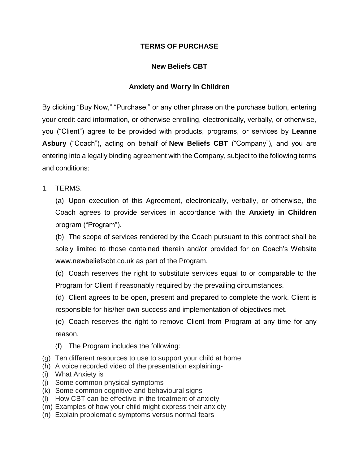## **TERMS OF PURCHASE**

## **New Beliefs CBT**

## **Anxiety and Worry in Children**

By clicking "Buy Now," "Purchase," or any other phrase on the purchase button, entering your credit card information, or otherwise enrolling, electronically, verbally, or otherwise, you ("Client") agree to be provided with products, programs, or services by **Leanne Asbury** ("Coach"), acting on behalf of **New Beliefs CBT** ("Company"), and you are entering into a legally binding agreement with the Company, subject to the following terms and conditions:

1. TERMS.

(a) Upon execution of this Agreement, electronically, verbally, or otherwise, the Coach agrees to provide services in accordance with the **Anxiety in Children** program ("Program").

(b) The scope of services rendered by the Coach pursuant to this contract shall be solely limited to those contained therein and/or provided for on Coach's Website www.newbeliefscbt.co.uk as part of the Program.

(c) Coach reserves the right to substitute services equal to or comparable to the Program for Client if reasonably required by the prevailing circumstances.

(d) Client agrees to be open, present and prepared to complete the work. Client is responsible for his/her own success and implementation of objectives met.

(e) Coach reserves the right to remove Client from Program at any time for any reason.

- (f) The Program includes the following:
- (g) Ten different resources to use to support your child at home
- (h) A voice recorded video of the presentation explaining-
- (i) What Anxiety is
- (j) Some common physical symptoms
- (k) Some common cognitive and behavioural signs
- (l) How CBT can be effective in the treatment of anxiety
- (m) Examples of how your child might express their anxiety
- (n) Explain problematic symptoms versus normal fears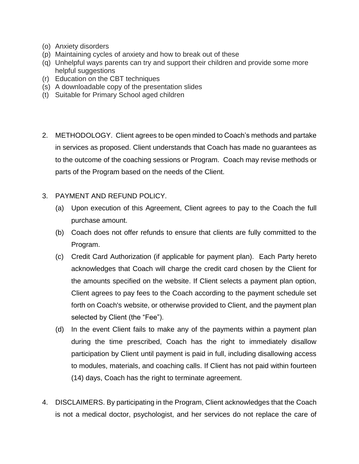- (o) Anxiety disorders
- (p) Maintaining cycles of anxiety and how to break out of these
- (q) Unhelpful ways parents can try and support their children and provide some more helpful suggestions
- (r) Education on the CBT techniques
- (s) A downloadable copy of the presentation slides
- (t) Suitable for Primary School aged children
- 2. METHODOLOGY. Client agrees to be open minded to Coach's methods and partake in services as proposed. Client understands that Coach has made no guarantees as to the outcome of the coaching sessions or Program. Coach may revise methods or parts of the Program based on the needs of the Client.
- 3. PAYMENT AND REFUND POLICY.
	- (a) Upon execution of this Agreement, Client agrees to pay to the Coach the full purchase amount.
	- (b) Coach does not offer refunds to ensure that clients are fully committed to the Program.
	- (c) Credit Card Authorization (if applicable for payment plan). Each Party hereto acknowledges that Coach will charge the credit card chosen by the Client for the amounts specified on the website. If Client selects a payment plan option, Client agrees to pay fees to the Coach according to the payment schedule set forth on Coach's website, or otherwise provided to Client, and the payment plan selected by Client (the "Fee").
	- (d) In the event Client fails to make any of the payments within a payment plan during the time prescribed, Coach has the right to immediately disallow participation by Client until payment is paid in full, including disallowing access to modules, materials, and coaching calls. If Client has not paid within fourteen (14) days, Coach has the right to terminate agreement.
- 4. DISCLAIMERS. By participating in the Program, Client acknowledges that the Coach is not a medical doctor, psychologist, and her services do not replace the care of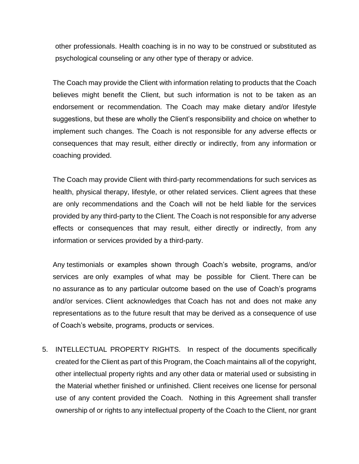other professionals. Health coaching is in no way to be construed or substituted as psychological counseling or any other type of therapy or advice.

The Coach may provide the Client with information relating to products that the Coach believes might benefit the Client, but such information is not to be taken as an endorsement or recommendation. The Coach may make dietary and/or lifestyle suggestions, but these are wholly the Client's responsibility and choice on whether to implement such changes. The Coach is not responsible for any adverse effects or consequences that may result, either directly or indirectly, from any information or coaching provided.

The Coach may provide Client with third-party recommendations for such services as health, physical therapy, lifestyle, or other related services. Client agrees that these are only recommendations and the Coach will not be held liable for the services provided by any third-party to the Client. The Coach is not responsible for any adverse effects or consequences that may result, either directly or indirectly, from any information or services provided by a third-party.

Any testimonials or examples shown through Coach's website, programs, and/or services are only examples of what may be possible for Client. There can be no assurance as to any particular outcome based on the use of Coach's programs and/or services. Client acknowledges that Coach has not and does not make any representations as to the future result that may be derived as a consequence of use of Coach's website, programs, products or services.

5. INTELLECTUAL PROPERTY RIGHTS. In respect of the documents specifically created for the Client as part of this Program, the Coach maintains all of the copyright, other intellectual property rights and any other data or material used or subsisting in the Material whether finished or unfinished. Client receives one license for personal use of any content provided the Coach. Nothing in this Agreement shall transfer ownership of or rights to any intellectual property of the Coach to the Client, nor grant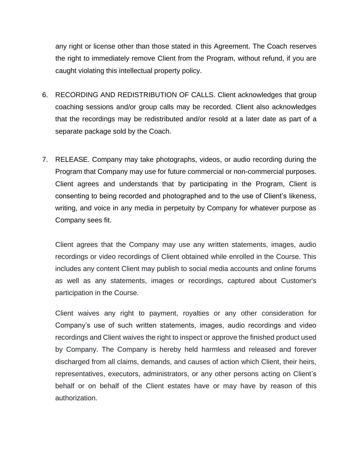any right or license other than those stated in this Agreement. The Coach reserves the right to immediately remove Client from the Program, without refund, if you are caught violating this intellectual property policy.

- 6. RECORDING AND REDISTRIBUTION OF CALLS. Client acknowledges that group coaching sessions and/or group calls may be recorded. Client also acknowledges that the recordings may be redistributed and/or resold at a later date as part of a separate package sold by the Coach.
- 7. RELEASE. Company may take photographs, videos, or audio recording during the Program that Company may use for future commercial or non-commercial purposes. Client agrees and understands that by participating in the Program, Client is consenting to being recorded and photographed and to the use of Client's likeness, writing, and voice in any media in perpetuity by Company for whatever purpose as Company sees fit.

Client agrees that the Company may use any written statements, images, audio recordings or video recordings of Client obtained while enrolled in the Course. This includes any content Client may publish to social media accounts and online forums as well as any statements, images or recordings, captured about Customer's participation in the Course.

Client waives any right to payment, royalties or any other consideration for Company's use of such written statements, images, audio recordings and video recordings and Client waives the right to inspect or approve the finished product used by Company. The Company is hereby held harmless and released and forever discharged from all claims, demands, and causes of action which Client, their heirs, representatives, executors, administrators, or any other persons acting on Client's behalf or on behalf of the Client estates have or may have by reason of this authorization.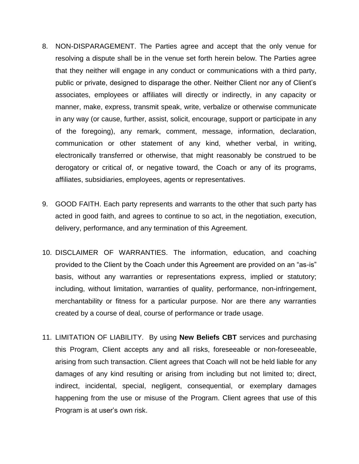- 8. NON-DISPARAGEMENT. The Parties agree and accept that the only venue for resolving a dispute shall be in the venue set forth herein below. The Parties agree that they neither will engage in any conduct or communications with a third party, public or private, designed to disparage the other. Neither Client nor any of Client's associates, employees or affiliates will directly or indirectly, in any capacity or manner, make, express, transmit speak, write, verbalize or otherwise communicate in any way (or cause, further, assist, solicit, encourage, support or participate in any of the foregoing), any remark, comment, message, information, declaration, communication or other statement of any kind, whether verbal, in writing, electronically transferred or otherwise, that might reasonably be construed to be derogatory or critical of, or negative toward, the Coach or any of its programs, affiliates, subsidiaries, employees, agents or representatives.
- 9. GOOD FAITH. Each party represents and warrants to the other that such party has acted in good faith, and agrees to continue to so act, in the negotiation, execution, delivery, performance, and any termination of this Agreement.
- 10. DISCLAIMER OF WARRANTIES. The information, education, and coaching provided to the Client by the Coach under this Agreement are provided on an "as-is" basis, without any warranties or representations express, implied or statutory; including, without limitation, warranties of quality, performance, non-infringement, merchantability or fitness for a particular purpose. Nor are there any warranties created by a course of deal, course of performance or trade usage.
- 11. LIMITATION OF LIABILITY. By using **New Beliefs CBT** services and purchasing this Program, Client accepts any and all risks, foreseeable or non-foreseeable, arising from such transaction. Client agrees that Coach will not be held liable for any damages of any kind resulting or arising from including but not limited to; direct, indirect, incidental, special, negligent, consequential, or exemplary damages happening from the use or misuse of the Program. Client agrees that use of this Program is at user's own risk.